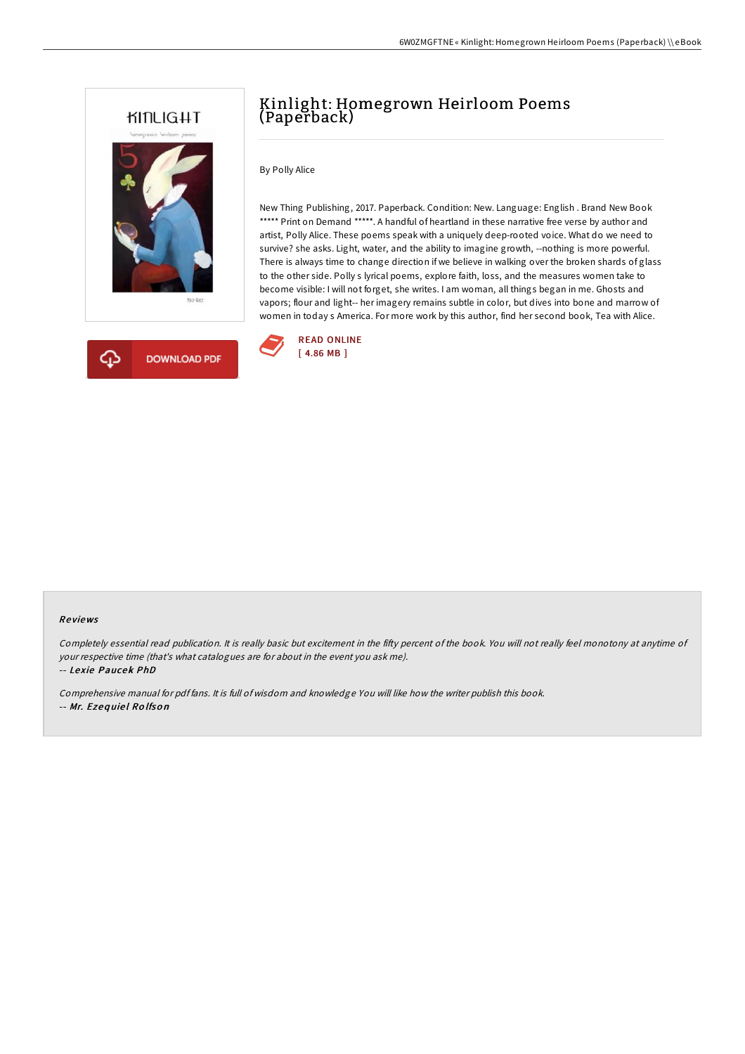



## Kinlight: Homegrown Heirloom Poems (Paperback)

By Polly Alice

New Thing Publishing, 2017. Paperback. Condition: New. Language: English . Brand New Book \*\*\*\*\* Print on Demand \*\*\*\*\*. A handful of heartland in these narrative free verse by author and artist, Polly Alice. These poems speak with a uniquely deep-rooted voice. What do we need to survive? she asks. Light, water, and the ability to imagine growth, --nothing is more powerful. There is always time to change direction if we believe in walking over the broken shards of glass to the other side. Polly s lyrical poems, explore faith, loss, and the measures women take to become visible: I will not forget, she writes. I am woman, all things began in me. Ghosts and vapors; flour and light-- her imagery remains subtle in color, but dives into bone and marrow of women in today s America. For more work by this author, find her second book, Tea with Alice.



## Re views

Completely essential read publication. It is really basic but excitement in the fifty percent of the book. You will not really feel monotony at anytime of your respective time (that's what catalogues are for about in the event you ask me).

-- Lexie Paucek PhD

Comprehensive manual for pdf fans. It is full of wisdom and knowledge You will like how the writer publish this book. -- Mr. Ezeq uie l Ro lfso <sup>n</sup>